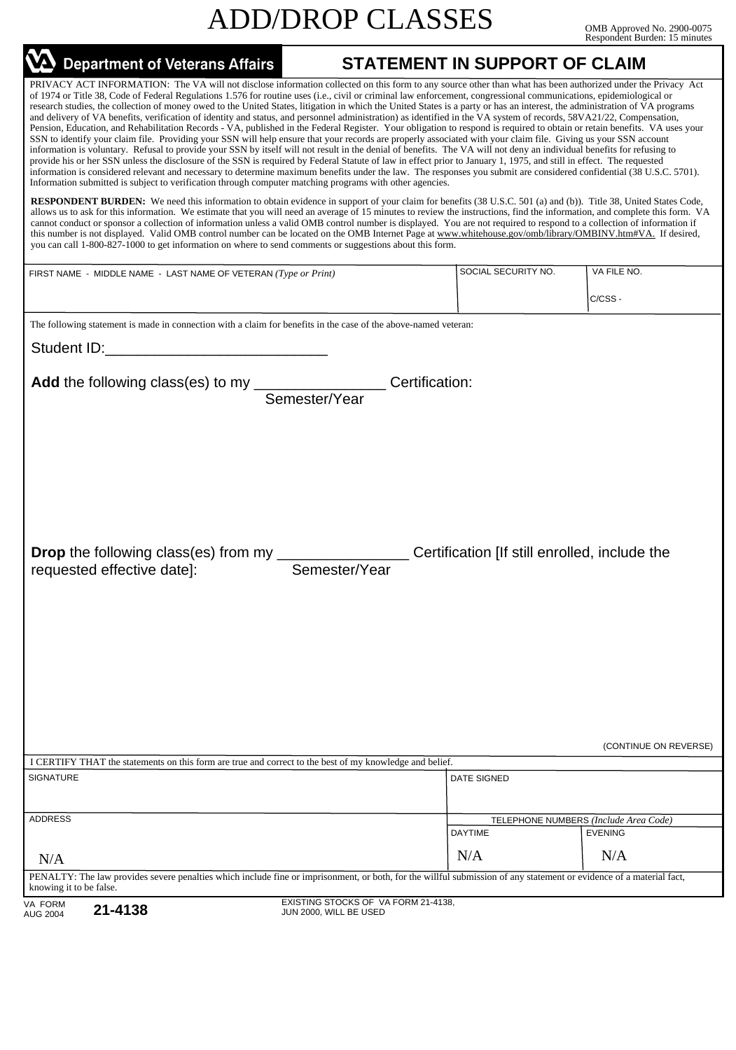|                                                                                                                                                                                                                                                                                                                                                                                                                                                                                                                                                                                                                                                                                                                                                                                                                                                                                                                                                                                                                                                                                                                                                                                                                                                                                                                                                                                                                                                                                                                                                                                                                                                                                                                                                                                                                                                                                                                                                                                                                                                                                                                                                                                                                                                                                                                                                                                   | <b>ADD/DROP CLASSES</b>                                       |                                               | OMB Approved No. 2900-0075<br>Respondent Burden: 15 minutes |
|-----------------------------------------------------------------------------------------------------------------------------------------------------------------------------------------------------------------------------------------------------------------------------------------------------------------------------------------------------------------------------------------------------------------------------------------------------------------------------------------------------------------------------------------------------------------------------------------------------------------------------------------------------------------------------------------------------------------------------------------------------------------------------------------------------------------------------------------------------------------------------------------------------------------------------------------------------------------------------------------------------------------------------------------------------------------------------------------------------------------------------------------------------------------------------------------------------------------------------------------------------------------------------------------------------------------------------------------------------------------------------------------------------------------------------------------------------------------------------------------------------------------------------------------------------------------------------------------------------------------------------------------------------------------------------------------------------------------------------------------------------------------------------------------------------------------------------------------------------------------------------------------------------------------------------------------------------------------------------------------------------------------------------------------------------------------------------------------------------------------------------------------------------------------------------------------------------------------------------------------------------------------------------------------------------------------------------------------------------------------------------------|---------------------------------------------------------------|-----------------------------------------------|-------------------------------------------------------------|
| VA Department of Veterans Affairs                                                                                                                                                                                                                                                                                                                                                                                                                                                                                                                                                                                                                                                                                                                                                                                                                                                                                                                                                                                                                                                                                                                                                                                                                                                                                                                                                                                                                                                                                                                                                                                                                                                                                                                                                                                                                                                                                                                                                                                                                                                                                                                                                                                                                                                                                                                                                 |                                                               | <b>STATEMENT IN SUPPORT OF CLAIM</b>          |                                                             |
| PRIVACY ACT INFORMATION: The VA will not disclose information collected on this form to any source other than what has been authorized under the Privacy Act<br>of 1974 or Title 38, Code of Federal Regulations 1.576 for routine uses (i.e., civil or criminal law enforcement, congressional communications, epidemiological or<br>research studies, the collection of money owed to the United States, litigation in which the United States is a party or has an interest, the administration of VA programs<br>and delivery of VA benefits, verification of identity and status, and personnel administration) as identified in the VA system of records, 58VA21/22, Compensation,<br>Pension, Education, and Rehabilitation Records - VA, published in the Federal Register. Your obligation to respond is required to obtain or retain benefits. VA uses your<br>SSN to identify your claim file. Providing your SSN will help ensure that your records are properly associated with your claim file. Giving us your SSN account<br>information is voluntary. Refusal to provide your SSN by itself will not result in the denial of benefits. The VA will not deny an individual benefits for refusing to<br>provide his or her SSN unless the disclosure of the SSN is required by Federal Statute of law in effect prior to January 1, 1975, and still in effect. The requested<br>information is considered relevant and necessary to determine maximum benefits under the law. The responses you submit are considered confidential (38 U.S.C. 5701).<br>Information submitted is subject to verification through computer matching programs with other agencies.<br><b>RESPONDENT BURDEN:</b> We need this information to obtain evidence in support of your claim for benefits (38 U.S.C. 501 (a) and (b)). Title 38, United States Code,<br>allows us to ask for this information. We estimate that you will need an average of 15 minutes to review the instructions, find the information, and complete this form. VA<br>cannot conduct or sponsor a collection of information unless a valid OMB control number is displayed. You are not required to respond to a collection of information if<br>this number is not displayed. Valid OMB control number can be located on the OMB Internet Page at www.whitehouse.gov/omb/library/OMBINV.htm#VA. If desired, |                                                               |                                               |                                                             |
| you can call 1-800-827-1000 to get information on where to send comments or suggestions about this form.                                                                                                                                                                                                                                                                                                                                                                                                                                                                                                                                                                                                                                                                                                                                                                                                                                                                                                                                                                                                                                                                                                                                                                                                                                                                                                                                                                                                                                                                                                                                                                                                                                                                                                                                                                                                                                                                                                                                                                                                                                                                                                                                                                                                                                                                          |                                                               |                                               |                                                             |
| FIRST NAME - MIDDLE NAME - LAST NAME OF VETERAN (Type or Print)                                                                                                                                                                                                                                                                                                                                                                                                                                                                                                                                                                                                                                                                                                                                                                                                                                                                                                                                                                                                                                                                                                                                                                                                                                                                                                                                                                                                                                                                                                                                                                                                                                                                                                                                                                                                                                                                                                                                                                                                                                                                                                                                                                                                                                                                                                                   |                                                               | SOCIAL SECURITY NO.                           | VA FILE NO.                                                 |
|                                                                                                                                                                                                                                                                                                                                                                                                                                                                                                                                                                                                                                                                                                                                                                                                                                                                                                                                                                                                                                                                                                                                                                                                                                                                                                                                                                                                                                                                                                                                                                                                                                                                                                                                                                                                                                                                                                                                                                                                                                                                                                                                                                                                                                                                                                                                                                                   |                                                               |                                               | C/CSS-                                                      |
| The following statement is made in connection with a claim for benefits in the case of the above-named veteran:                                                                                                                                                                                                                                                                                                                                                                                                                                                                                                                                                                                                                                                                                                                                                                                                                                                                                                                                                                                                                                                                                                                                                                                                                                                                                                                                                                                                                                                                                                                                                                                                                                                                                                                                                                                                                                                                                                                                                                                                                                                                                                                                                                                                                                                                   |                                                               |                                               |                                                             |
| Student ID: Analysis and the student of the student of the student of the student of the student of the student                                                                                                                                                                                                                                                                                                                                                                                                                                                                                                                                                                                                                                                                                                                                                                                                                                                                                                                                                                                                                                                                                                                                                                                                                                                                                                                                                                                                                                                                                                                                                                                                                                                                                                                                                                                                                                                                                                                                                                                                                                                                                                                                                                                                                                                                   |                                                               |                                               |                                                             |
| Add the following class(es) to my _____________________Certification:<br>Semester/Year                                                                                                                                                                                                                                                                                                                                                                                                                                                                                                                                                                                                                                                                                                                                                                                                                                                                                                                                                                                                                                                                                                                                                                                                                                                                                                                                                                                                                                                                                                                                                                                                                                                                                                                                                                                                                                                                                                                                                                                                                                                                                                                                                                                                                                                                                            |                                                               |                                               |                                                             |
| <b>Drop</b> the following class(es) from my ________<br>requested effective date]:                                                                                                                                                                                                                                                                                                                                                                                                                                                                                                                                                                                                                                                                                                                                                                                                                                                                                                                                                                                                                                                                                                                                                                                                                                                                                                                                                                                                                                                                                                                                                                                                                                                                                                                                                                                                                                                                                                                                                                                                                                                                                                                                                                                                                                                                                                | Semester/Year                                                 | Certification [If still enrolled, include the |                                                             |
|                                                                                                                                                                                                                                                                                                                                                                                                                                                                                                                                                                                                                                                                                                                                                                                                                                                                                                                                                                                                                                                                                                                                                                                                                                                                                                                                                                                                                                                                                                                                                                                                                                                                                                                                                                                                                                                                                                                                                                                                                                                                                                                                                                                                                                                                                                                                                                                   |                                                               |                                               | (CONTINUE ON REVERSE)                                       |
| I CERTIFY THAT the statements on this form are true and correct to the best of my knowledge and belief.<br><b>SIGNATURE</b>                                                                                                                                                                                                                                                                                                                                                                                                                                                                                                                                                                                                                                                                                                                                                                                                                                                                                                                                                                                                                                                                                                                                                                                                                                                                                                                                                                                                                                                                                                                                                                                                                                                                                                                                                                                                                                                                                                                                                                                                                                                                                                                                                                                                                                                       |                                                               | <b>DATE SIGNED</b>                            |                                                             |
|                                                                                                                                                                                                                                                                                                                                                                                                                                                                                                                                                                                                                                                                                                                                                                                                                                                                                                                                                                                                                                                                                                                                                                                                                                                                                                                                                                                                                                                                                                                                                                                                                                                                                                                                                                                                                                                                                                                                                                                                                                                                                                                                                                                                                                                                                                                                                                                   |                                                               |                                               |                                                             |
| <b>ADDRESS</b>                                                                                                                                                                                                                                                                                                                                                                                                                                                                                                                                                                                                                                                                                                                                                                                                                                                                                                                                                                                                                                                                                                                                                                                                                                                                                                                                                                                                                                                                                                                                                                                                                                                                                                                                                                                                                                                                                                                                                                                                                                                                                                                                                                                                                                                                                                                                                                    |                                                               |                                               | TELEPHONE NUMBERS (Include Area Code)                       |
|                                                                                                                                                                                                                                                                                                                                                                                                                                                                                                                                                                                                                                                                                                                                                                                                                                                                                                                                                                                                                                                                                                                                                                                                                                                                                                                                                                                                                                                                                                                                                                                                                                                                                                                                                                                                                                                                                                                                                                                                                                                                                                                                                                                                                                                                                                                                                                                   |                                                               | <b>DAYTIME</b>                                | <b>EVENING</b>                                              |
| N/A                                                                                                                                                                                                                                                                                                                                                                                                                                                                                                                                                                                                                                                                                                                                                                                                                                                                                                                                                                                                                                                                                                                                                                                                                                                                                                                                                                                                                                                                                                                                                                                                                                                                                                                                                                                                                                                                                                                                                                                                                                                                                                                                                                                                                                                                                                                                                                               |                                                               | N/A                                           | N/A                                                         |
| PENALTY: The law provides severe penalties which include fine or imprisonment, or both, for the willful submission of any statement or evidence of a material fact,<br>knowing it to be false.                                                                                                                                                                                                                                                                                                                                                                                                                                                                                                                                                                                                                                                                                                                                                                                                                                                                                                                                                                                                                                                                                                                                                                                                                                                                                                                                                                                                                                                                                                                                                                                                                                                                                                                                                                                                                                                                                                                                                                                                                                                                                                                                                                                    |                                                               |                                               |                                                             |
| VA FORM<br>21-4138<br><b>AUG 2004</b>                                                                                                                                                                                                                                                                                                                                                                                                                                                                                                                                                                                                                                                                                                                                                                                                                                                                                                                                                                                                                                                                                                                                                                                                                                                                                                                                                                                                                                                                                                                                                                                                                                                                                                                                                                                                                                                                                                                                                                                                                                                                                                                                                                                                                                                                                                                                             | EXISTING STOCKS OF VA FORM 21-4138,<br>JUN 2000, WILL BE USED |                                               |                                                             |